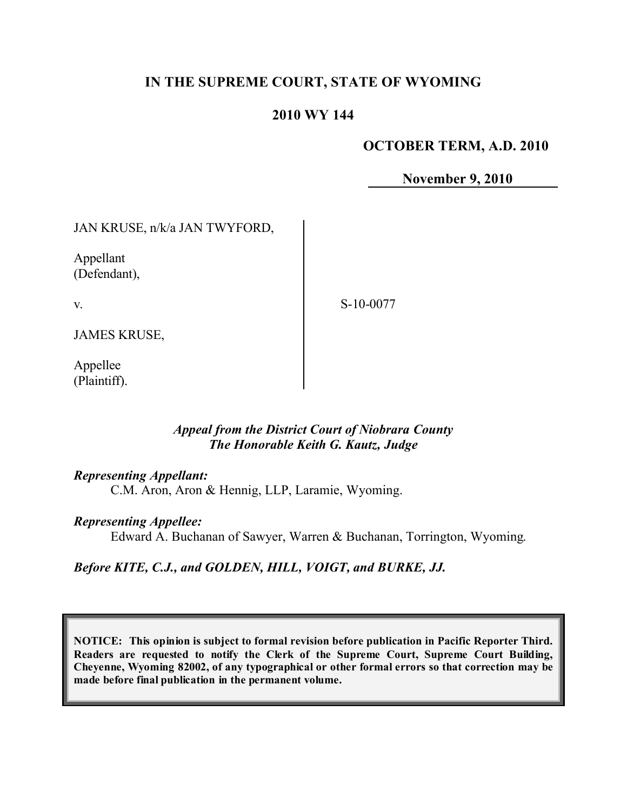# **IN THE SUPREME COURT, STATE OF WYOMING**

# **2010 WY 144**

#### **OCTOBER TERM, A.D. 2010**

**November 9, 2010**

JAN KRUSE, n/k/a JAN TWYFORD,

Appellant (Defendant),

v.

S-10-0077

JAMES KRUSE,

Appellee (Plaintiff).

## *Appeal from the District Court of Niobrara County The Honorable Keith G. Kautz, Judge*

#### *Representing Appellant:*

C.M. Aron, Aron & Hennig, LLP, Laramie, Wyoming.

#### *Representing Appellee:*

Edward A. Buchanan of Sawyer, Warren & Buchanan, Torrington, Wyoming.

# *Before KITE, C.J., and GOLDEN, HILL, VOIGT, and BURKE, JJ.*

**NOTICE: This opinion is subject to formal revision before publication in Pacific Reporter Third. Readers are requested to notify the Clerk of the Supreme Court, Supreme Court Building, Cheyenne, Wyoming 82002, of any typographical or other formal errors so that correction may be made before final publication in the permanent volume.**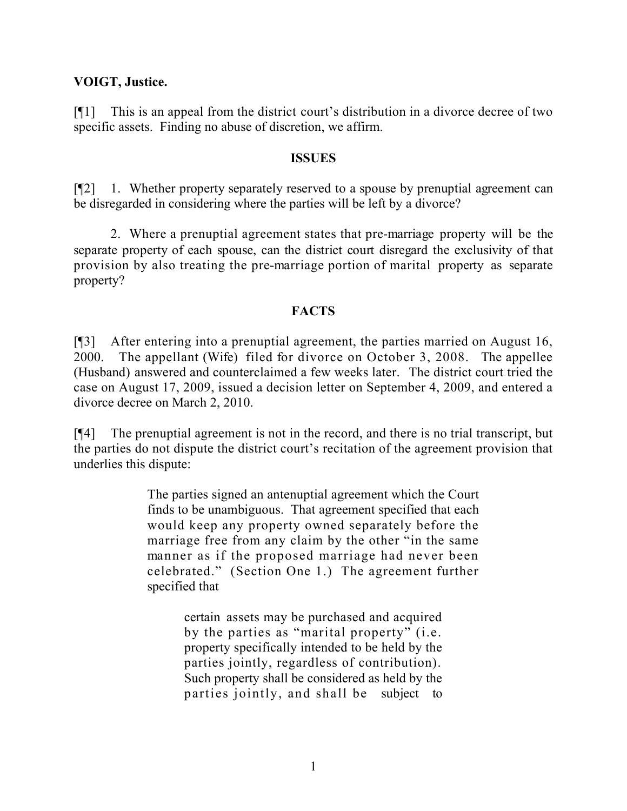# **VOIGT, Justice.**

[¶1] This is an appeal from the district court's distribution in a divorce decree of two specific assets. Finding no abuse of discretion, we affirm.

#### **ISSUES**

[¶2] 1. Whether property separately reserved to a spouse by prenuptial agreement can be disregarded in considering where the parties will be left by a divorce?

2. Where a prenuptial agreement states that pre-marriage property will be the separate property of each spouse, can the district court disregard the exclusivity of that provision by also treating the pre-marriage portion of marital property as separate property?

## **FACTS**

[¶3] After entering into a prenuptial agreement, the parties married on August 16, 2000. The appellant (Wife) filed for divorce on October 3, 2008. The appellee (Husband) answered and counterclaimed a few weeks later. The district court tried the case on August 17, 2009, issued a decision letter on September 4, 2009, and entered a divorce decree on March 2, 2010.

[¶4] The prenuptial agreement is not in the record, and there is no trial transcript, but the parties do not dispute the district court's recitation of the agreement provision that underlies this dispute:

> The parties signed an antenuptial agreement which the Court finds to be unambiguous. That agreement specified that each would keep any property owned separately before the marriage free from any claim by the other "in the same manner as if the proposed marriage had never been celebrated." (Section One 1.) The agreement further specified that

> > certain assets may be purchased and acquired by the parties as "marital property" (i.e. property specifically intended to be held by the parties jointly, regardless of contribution). Such property shall be considered as held by the parties jointly, and shall be subject to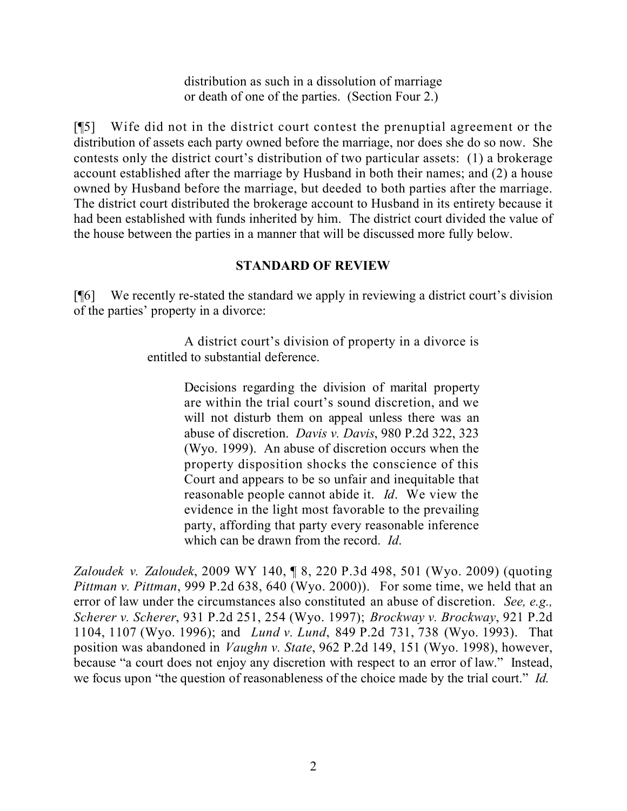distribution as such in a dissolution of marriage or death of one of the parties. (Section Four 2.)

[¶5] Wife did not in the district court contest the prenuptial agreement or the distribution of assets each party owned before the marriage, nor does she do so now. She contests only the district court's distribution of two particular assets: (1) a brokerage account established after the marriage by Husband in both their names; and (2) a house owned by Husband before the marriage, but deeded to both parties after the marriage. The district court distributed the brokerage account to Husband in its entirety because it had been established with funds inherited by him. The district court divided the value of the house between the parties in a manner that will be discussed more fully below.

# **STANDARD OF REVIEW**

[¶6] We recently re-stated the standard we apply in reviewing a district court's division of the parties' property in a divorce:

> A district court's division of property in a divorce is entitled to substantial deference.

> > Decisions regarding the division of marital property are within the trial court's sound discretion, and we will not disturb them on appeal unless there was an abuse of discretion. *Davis v. Davis*, 980 P.2d 322, 323 (Wyo. 1999). An abuse of discretion occurs when the property disposition shocks the conscience of this Court and appears to be so unfair and inequitable that reasonable people cannot abide it. *Id*. We view the evidence in the light most favorable to the prevailing party, affording that party every reasonable inference which can be drawn from the record. *Id*.

*Zaloudek v. Zaloudek*, 2009 WY 140, ¶ 8, 220 P.3d 498, 501 (Wyo. 2009) (quoting *Pittman v. Pittman*, 999 P.2d 638, 640 (Wyo. 2000)). For some time, we held that an error of law under the circumstances also constituted an abuse of discretion. *See, e.g., Scherer v. Scherer*, 931 P.2d 251, 254 (Wyo. 1997); *Brockway v. Brockway*, 921 P.2d 1104, 1107 (Wyo. 1996); and *Lund v. Lund*, 849 P.2d 731, 738 (Wyo. 1993). That position was abandoned in *Vaughn v. State*, 962 P.2d 149, 151 (Wyo. 1998), however, because "a court does not enjoy any discretion with respect to an error of law." Instead, we focus upon "the question of reasonableness of the choice made by the trial court." *Id.*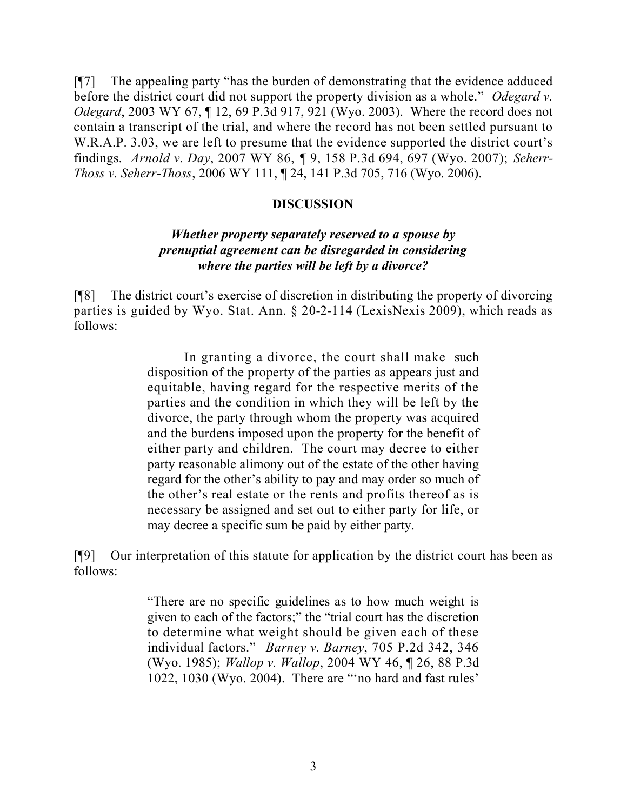[¶7] The appealing party "has the burden of demonstrating that the evidence adduced before the district court did not support the property division as a whole." *Odegard v. Odegard*, 2003 WY 67, ¶ 12, 69 P.3d 917, 921 (Wyo. 2003). Where the record does not contain a transcript of the trial, and where the record has not been settled pursuant to W.R.A.P. 3.03, we are left to presume that the evidence supported the district court's findings. *Arnold v. Day*, 2007 WY 86, ¶ 9, 158 P.3d 694, 697 (Wyo. 2007); *Seherr-Thoss v. Seherr-Thoss*, 2006 WY 111, ¶ 24, 141 P.3d 705, 716 (Wyo. 2006).

## **DISCUSSION**

#### *Whether property separately reserved to a spouse by prenuptial agreement can be disregarded in considering where the parties will be left by a divorce?*

[¶8] The district court's exercise of discretion in distributing the property of divorcing parties is guided by Wyo. Stat. Ann. § 20-2-114 (LexisNexis 2009), which reads as follows:

> In granting a divorce, the court shall make such disposition of the property of the parties as appears just and equitable, having regard for the respective merits of the parties and the condition in which they will be left by the divorce, the party through whom the property was acquired and the burdens imposed upon the property for the benefit of either party and children. The court may decree to either party reasonable alimony out of the estate of the other having regard for the other's ability to pay and may order so much of the other's real estate or the rents and profits thereof as is necessary be assigned and set out to either party for life, or may decree a specific sum be paid by either party.

[¶9] Our interpretation of this statute for application by the district court has been as follows:

> "There are no specific guidelines as to how much weight is given to each of the factors;" the "trial court has the discretion to determine what weight should be given each of these individual factors." *Barney v. Barney*, 705 P.2d 342, 346 (Wyo. 1985); *Wallop v. Wallop*, 2004 WY 46, ¶ 26, 88 P.3d 1022, 1030 (Wyo. 2004). There are "'no hard and fast rules'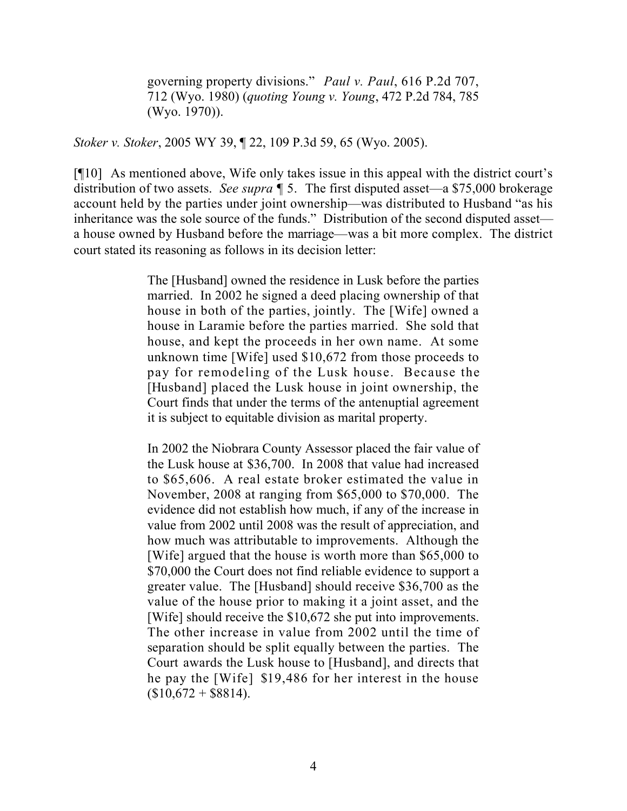governing property divisions." *Paul v. Paul*, 616 P.2d 707, 712 (Wyo. 1980) (*quoting Young v. Young*, 472 P.2d 784, 785 (Wyo. 1970)).

*Stoker v. Stoker*, 2005 WY 39, ¶ 22, 109 P.3d 59, 65 (Wyo. 2005).

[¶10] As mentioned above, Wife only takes issue in this appeal with the district court's distribution of two assets. *See supra* ¶ 5. The first disputed asset—a \$75,000 brokerage account held by the parties under joint ownership—was distributed to Husband "as his inheritance was the sole source of the funds." Distribution of the second disputed asset a house owned by Husband before the marriage—was a bit more complex. The district court stated its reasoning as follows in its decision letter:

> The [Husband] owned the residence in Lusk before the parties married. In 2002 he signed a deed placing ownership of that house in both of the parties, jointly. The [Wife] owned a house in Laramie before the parties married. She sold that house, and kept the proceeds in her own name. At some unknown time [Wife] used \$10,672 from those proceeds to pay for remodeling of the Lusk house. Because the [Husband] placed the Lusk house in joint ownership, the Court finds that under the terms of the antenuptial agreement it is subject to equitable division as marital property.

> In 2002 the Niobrara County Assessor placed the fair value of the Lusk house at \$36,700. In 2008 that value had increased to \$65,606. A real estate broker estimated the value in November, 2008 at ranging from \$65,000 to \$70,000. The evidence did not establish how much, if any of the increase in value from 2002 until 2008 was the result of appreciation, and how much was attributable to improvements. Although the [Wife] argued that the house is worth more than \$65,000 to \$70,000 the Court does not find reliable evidence to support a greater value. The [Husband] should receive \$36,700 as the value of the house prior to making it a joint asset, and the [Wife] should receive the \$10,672 she put into improvements. The other increase in value from 2002 until the time of separation should be split equally between the parties. The Court awards the Lusk house to [Husband], and directs that he pay the [Wife] \$19,486 for her interest in the house  $(S10.672 + $8814)$ .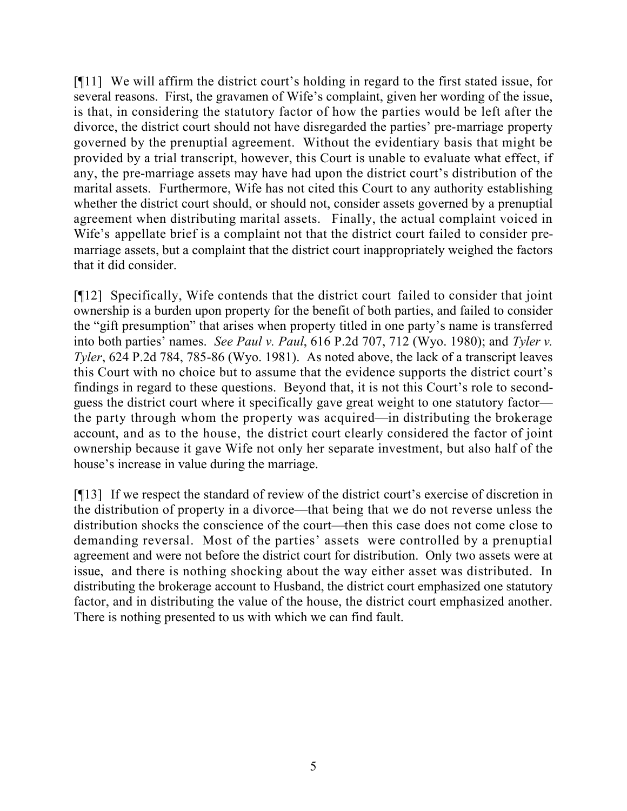[¶11] We will affirm the district court's holding in regard to the first stated issue, for several reasons. First, the gravamen of Wife's complaint, given her wording of the issue, is that, in considering the statutory factor of how the parties would be left after the divorce, the district court should not have disregarded the parties' pre-marriage property governed by the prenuptial agreement. Without the evidentiary basis that might be provided by a trial transcript, however, this Court is unable to evaluate what effect, if any, the pre-marriage assets may have had upon the district court's distribution of the marital assets. Furthermore, Wife has not cited this Court to any authority establishing whether the district court should, or should not, consider assets governed by a prenuptial agreement when distributing marital assets. Finally, the actual complaint voiced in Wife's appellate brief is a complaint not that the district court failed to consider premarriage assets, but a complaint that the district court inappropriately weighed the factors that it did consider.

[¶12] Specifically, Wife contends that the district court failed to consider that joint ownership is a burden upon property for the benefit of both parties, and failed to consider the "gift presumption" that arises when property titled in one party's name is transferred into both parties' names. *See Paul v. Paul*, 616 P.2d 707, 712 (Wyo. 1980); and *Tyler v. Tyler*, 624 P.2d 784, 785-86 (Wyo. 1981). As noted above, the lack of a transcript leaves this Court with no choice but to assume that the evidence supports the district court's findings in regard to these questions. Beyond that, it is not this Court's role to secondguess the district court where it specifically gave great weight to one statutory factor the party through whom the property was acquired—in distributing the brokerage account, and as to the house, the district court clearly considered the factor of joint ownership because it gave Wife not only her separate investment, but also half of the house's increase in value during the marriage.

[¶13] If we respect the standard of review of the district court's exercise of discretion in the distribution of property in a divorce—that being that we do not reverse unless the distribution shocks the conscience of the court—then this case does not come close to demanding reversal. Most of the parties' assets were controlled by a prenuptial agreement and were not before the district court for distribution. Only two assets were at issue, and there is nothing shocking about the way either asset was distributed. In distributing the brokerage account to Husband, the district court emphasized one statutory factor, and in distributing the value of the house, the district court emphasized another. There is nothing presented to us with which we can find fault.